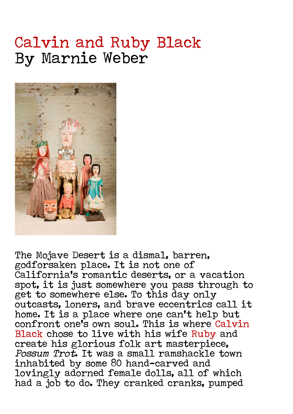## Calvin and Ruby Black By Marnie Weber



The Mojave Desert is a dismal, barren, godforsaken place. It is not one of California's romantic deserts, or a vacation spot, it is just somewhere you pass through to get to somewhere else. To this day only outcasts, loners, and brave eccentrics call it home. It is a place where one can't help but confront one's own soul. This is where Calvin Black chose to live with his wife Ruby and create his glorious folk art masterpiece, Possum Trot. It was a small ramshackle town inhabited by some 80 hand-carved and lovingly adorned female dolls, all of which had a job to do. They cranked cranks, pumped